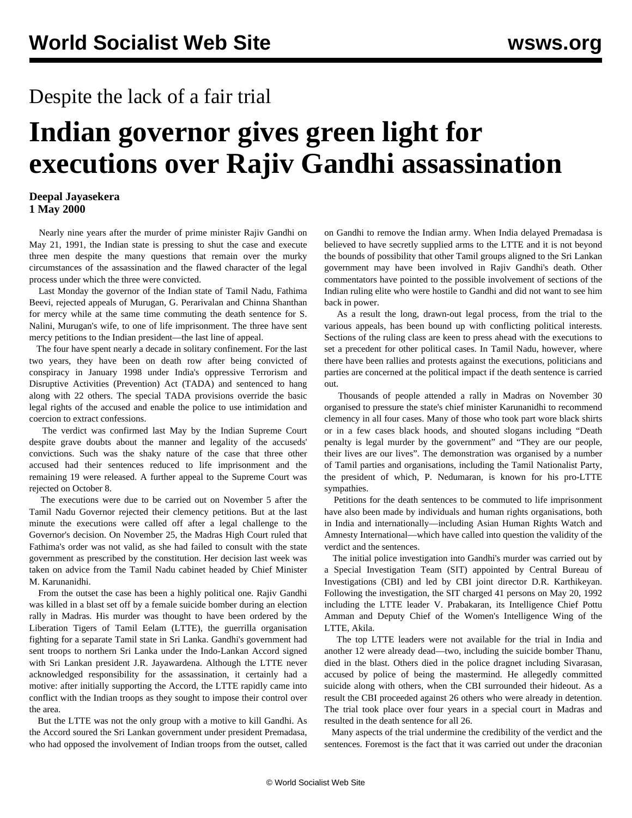## Despite the lack of a fair trial

## **Indian governor gives green light for executions over Rajiv Gandhi assassination**

## **Deepal Jayasekera 1 May 2000**

 Nearly nine years after the murder of prime minister Rajiv Gandhi on May 21, 1991, the Indian state is pressing to shut the case and execute three men despite the many questions that remain over the murky circumstances of the assassination and the flawed character of the legal process under which the three were convicted.

 Last Monday the governor of the Indian state of Tamil Nadu, Fathima Beevi, rejected appeals of Murugan, G. Perarivalan and Chinna Shanthan for mercy while at the same time commuting the death sentence for S. Nalini, Murugan's wife, to one of life imprisonment. The three have sent mercy petitions to the Indian president—the last line of appeal.

 The four have spent nearly a decade in solitary confinement. For the last two years, they have been on death row after being convicted of conspiracy in January 1998 under India's oppressive Terrorism and Disruptive Activities (Prevention) Act (TADA) and sentenced to hang along with 22 others. The special TADA provisions override the basic legal rights of the accused and enable the police to use intimidation and coercion to extract confessions.

 The verdict was confirmed last May by the Indian Supreme Court despite grave doubts about the manner and legality of the accuseds' convictions. Such was the shaky nature of the case that three other accused had their sentences reduced to life imprisonment and the remaining 19 were released. A further appeal to the Supreme Court was rejected on October 8.

 The executions were due to be carried out on November 5 after the Tamil Nadu Governor rejected their clemency petitions. But at the last minute the executions were called off after a legal challenge to the Governor's decision. On November 25, the Madras High Court ruled that Fathima's order was not valid, as she had failed to consult with the state government as prescribed by the constitution. Her decision last week was taken on advice from the Tamil Nadu cabinet headed by Chief Minister M. Karunanidhi.

 From the outset the case has been a highly political one. Rajiv Gandhi was killed in a blast set off by a female suicide bomber during an election rally in Madras. His murder was thought to have been ordered by the Liberation Tigers of Tamil Eelam (LTTE), the guerrilla organisation fighting for a separate Tamil state in Sri Lanka. Gandhi's government had sent troops to northern Sri Lanka under the Indo-Lankan Accord signed with Sri Lankan president J.R. Jayawardena. Although the LTTE never acknowledged responsibility for the assassination, it certainly had a motive: after initially supporting the Accord, the LTTE rapidly came into conflict with the Indian troops as they sought to impose their control over the area.

 But the LTTE was not the only group with a motive to kill Gandhi. As the Accord soured the Sri Lankan government under president Premadasa, who had opposed the involvement of Indian troops from the outset, called on Gandhi to remove the Indian army. When India delayed Premadasa is believed to have secretly supplied arms to the LTTE and it is not beyond the bounds of possibility that other Tamil groups aligned to the Sri Lankan government may have been involved in Rajiv Gandhi's death. Other commentators have pointed to the possible involvement of sections of the Indian ruling elite who were hostile to Gandhi and did not want to see him back in power.

 As a result the long, drawn-out legal process, from the trial to the various appeals, has been bound up with conflicting political interests. Sections of the ruling class are keen to press ahead with the executions to set a precedent for other political cases. In Tamil Nadu, however, where there have been rallies and protests against the executions, politicians and parties are concerned at the political impact if the death sentence is carried out.

 Thousands of people attended a rally in Madras on November 30 organised to pressure the state's chief minister Karunanidhi to recommend clemency in all four cases. Many of those who took part wore black shirts or in a few cases black hoods, and shouted slogans including "Death penalty is legal murder by the government" and "They are our people, their lives are our lives". The demonstration was organised by a number of Tamil parties and organisations, including the Tamil Nationalist Party, the president of which, P. Nedumaran, is known for his pro-LTTE sympathies.

 Petitions for the death sentences to be commuted to life imprisonment have also been made by individuals and human rights organisations, both in India and internationally—including Asian Human Rights Watch and Amnesty International—which have called into question the validity of the verdict and the sentences.

 The initial police investigation into Gandhi's murder was carried out by a Special Investigation Team (SIT) appointed by Central Bureau of Investigations (CBI) and led by CBI joint director D.R. Karthikeyan. Following the investigation, the SIT charged 41 persons on May 20, 1992 including the LTTE leader V. Prabakaran, its Intelligence Chief Pottu Amman and Deputy Chief of the Women's Intelligence Wing of the LTTE, Akila.

 The top LTTE leaders were not available for the trial in India and another 12 were already dead—two, including the suicide bomber Thanu, died in the blast. Others died in the police dragnet including Sivarasan, accused by police of being the mastermind. He allegedly committed suicide along with others, when the CBI surrounded their hideout. As a result the CBI proceeded against 26 others who were already in detention. The trial took place over four years in a special court in Madras and resulted in the death sentence for all 26.

 Many aspects of the trial undermine the credibility of the verdict and the sentences. Foremost is the fact that it was carried out under the draconian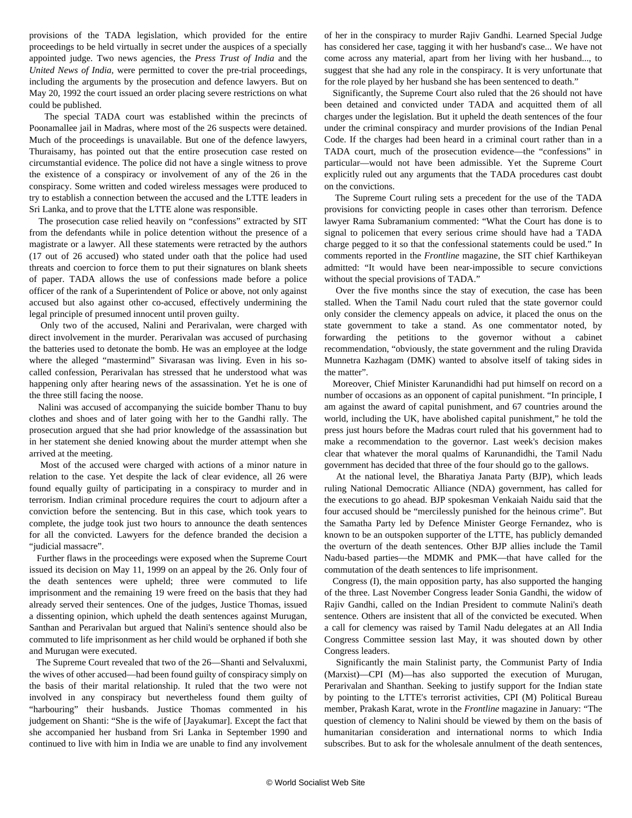provisions of the TADA legislation, which provided for the entire proceedings to be held virtually in secret under the auspices of a specially appointed judge. Two news agencies, the *Press Trust of India* and the *United News of India*, were permitted to cover the pre-trial proceedings, including the arguments by the prosecution and defence lawyers. But on May 20, 1992 the court issued an order placing severe restrictions on what could be published.

 The special TADA court was established within the precincts of Poonamallee jail in Madras, where most of the 26 suspects were detained. Much of the proceedings is unavailable. But one of the defence lawyers, Thuraisamy, has pointed out that the entire prosecution case rested on circumstantial evidence. The police did not have a single witness to prove the existence of a conspiracy or involvement of any of the 26 in the conspiracy. Some written and coded wireless messages were produced to try to establish a connection between the accused and the LTTE leaders in Sri Lanka, and to prove that the LTTE alone was responsible.

 The prosecution case relied heavily on "confessions" extracted by SIT from the defendants while in police detention without the presence of a magistrate or a lawyer. All these statements were retracted by the authors (17 out of 26 accused) who stated under oath that the police had used threats and coercion to force them to put their signatures on blank sheets of paper. TADA allows the use of confessions made before a police officer of the rank of a Superintendent of Police or above, not only against accused but also against other co-accused, effectively undermining the legal principle of presumed innocent until proven guilty.

 Only two of the accused, Nalini and Perarivalan, were charged with direct involvement in the murder. Perarivalan was accused of purchasing the batteries used to detonate the bomb. He was an employee at the lodge where the alleged "mastermind" Sivarasan was living. Even in his socalled confession, Perarivalan has stressed that he understood what was happening only after hearing news of the assassination. Yet he is one of the three still facing the noose.

 Nalini was accused of accompanying the suicide bomber Thanu to buy clothes and shoes and of later going with her to the Gandhi rally. The prosecution argued that she had prior knowledge of the assassination but in her statement she denied knowing about the murder attempt when she arrived at the meeting.

 Most of the accused were charged with actions of a minor nature in relation to the case. Yet despite the lack of clear evidence, all 26 were found equally guilty of participating in a conspiracy to murder and in terrorism. Indian criminal procedure requires the court to adjourn after a conviction before the sentencing. But in this case, which took years to complete, the judge took just two hours to announce the death sentences for all the convicted. Lawyers for the defence branded the decision a "judicial massacre".

 Further flaws in the proceedings were exposed when the Supreme Court issued its decision on May 11, 1999 on an appeal by the 26. Only four of the death sentences were upheld; three were commuted to life imprisonment and the remaining 19 were freed on the basis that they had already served their sentences. One of the judges, Justice Thomas, issued a dissenting opinion, which upheld the death sentences against Murugan, Santhan and Perarivalan but argued that Nalini's sentence should also be commuted to life imprisonment as her child would be orphaned if both she and Murugan were executed.

 The Supreme Court revealed that two of the 26—Shanti and Selvaluxmi, the wives of other accused—had been found guilty of conspiracy simply on the basis of their marital relationship. It ruled that the two were not involved in any conspiracy but nevertheless found them guilty of "harbouring" their husbands. Justice Thomas commented in his judgement on Shanti: "She is the wife of [Jayakumar]. Except the fact that she accompanied her husband from Sri Lanka in September 1990 and continued to live with him in India we are unable to find any involvement of her in the conspiracy to murder Rajiv Gandhi. Learned Special Judge has considered her case, tagging it with her husband's case... We have not come across any material, apart from her living with her husband..., to suggest that she had any role in the conspiracy. It is very unfortunate that for the role played by her husband she has been sentenced to death."

 Significantly, the Supreme Court also ruled that the 26 should not have been detained and convicted under TADA and acquitted them of all charges under the legislation. But it upheld the death sentences of the four under the criminal conspiracy and murder provisions of the Indian Penal Code. If the charges had been heard in a criminal court rather than in a TADA court, much of the prosecution evidence—the "confessions" in particular—would not have been admissible. Yet the Supreme Court explicitly ruled out any arguments that the TADA procedures cast doubt on the convictions.

 The Supreme Court ruling sets a precedent for the use of the TADA provisions for convicting people in cases other than terrorism. Defence lawyer Rama Subramanium commented: "What the Court has done is to signal to policemen that every serious crime should have had a TADA charge pegged to it so that the confessional statements could be used." In comments reported in the *Frontline* magazine, the SIT chief Karthikeyan admitted: "It would have been near-impossible to secure convictions without the special provisions of TADA."

 Over the five months since the stay of execution, the case has been stalled. When the Tamil Nadu court ruled that the state governor could only consider the clemency appeals on advice, it placed the onus on the state government to take a stand. As one commentator noted, by forwarding the petitions to the governor without a cabinet recommendation, "obviously, the state government and the ruling Dravida Munnetra Kazhagam (DMK) wanted to absolve itself of taking sides in the matter".

 Moreover, Chief Minister Karunandidhi had put himself on record on a number of occasions as an opponent of capital punishment. "In principle, I am against the award of capital punishment, and 67 countries around the world, including the UK, have abolished capital punishment," he told the press just hours before the Madras court ruled that his government had to make a recommendation to the governor. Last week's decision makes clear that whatever the moral qualms of Karunandidhi, the Tamil Nadu government has decided that three of the four should go to the gallows.

 At the national level, the Bharatiya Janata Party (BJP), which leads ruling National Democratic Alliance (NDA) government, has called for the executions to go ahead. BJP spokesman Venkaiah Naidu said that the four accused should be "mercilessly punished for the heinous crime". But the Samatha Party led by Defence Minister George Fernandez, who is known to be an outspoken supporter of the LTTE, has publicly demanded the overturn of the death sentences. Other BJP allies include the Tamil Nadu-based parties—the MDMK and PMK—that have called for the commutation of the death sentences to life imprisonment.

 Congress (I), the main opposition party, has also supported the hanging of the three. Last November Congress leader Sonia Gandhi, the widow of Rajiv Gandhi, called on the Indian President to commute Nalini's death sentence. Others are insistent that all of the convicted be executed. When a call for clemency was raised by Tamil Nadu delegates at an All India Congress Committee session last May, it was shouted down by other Congress leaders.

 Significantly the main Stalinist party, the Communist Party of India (Marxist)—CPI (M)—has also supported the execution of Murugan, Perarivalan and Shanthan. Seeking to justify support for the Indian state by pointing to the LTTE's terrorist activities, CPI (M) Political Bureau member, Prakash Karat, wrote in the *Frontline* magazine in January: "The question of clemency to Nalini should be viewed by them on the basis of humanitarian consideration and international norms to which India subscribes. But to ask for the wholesale annulment of the death sentences,